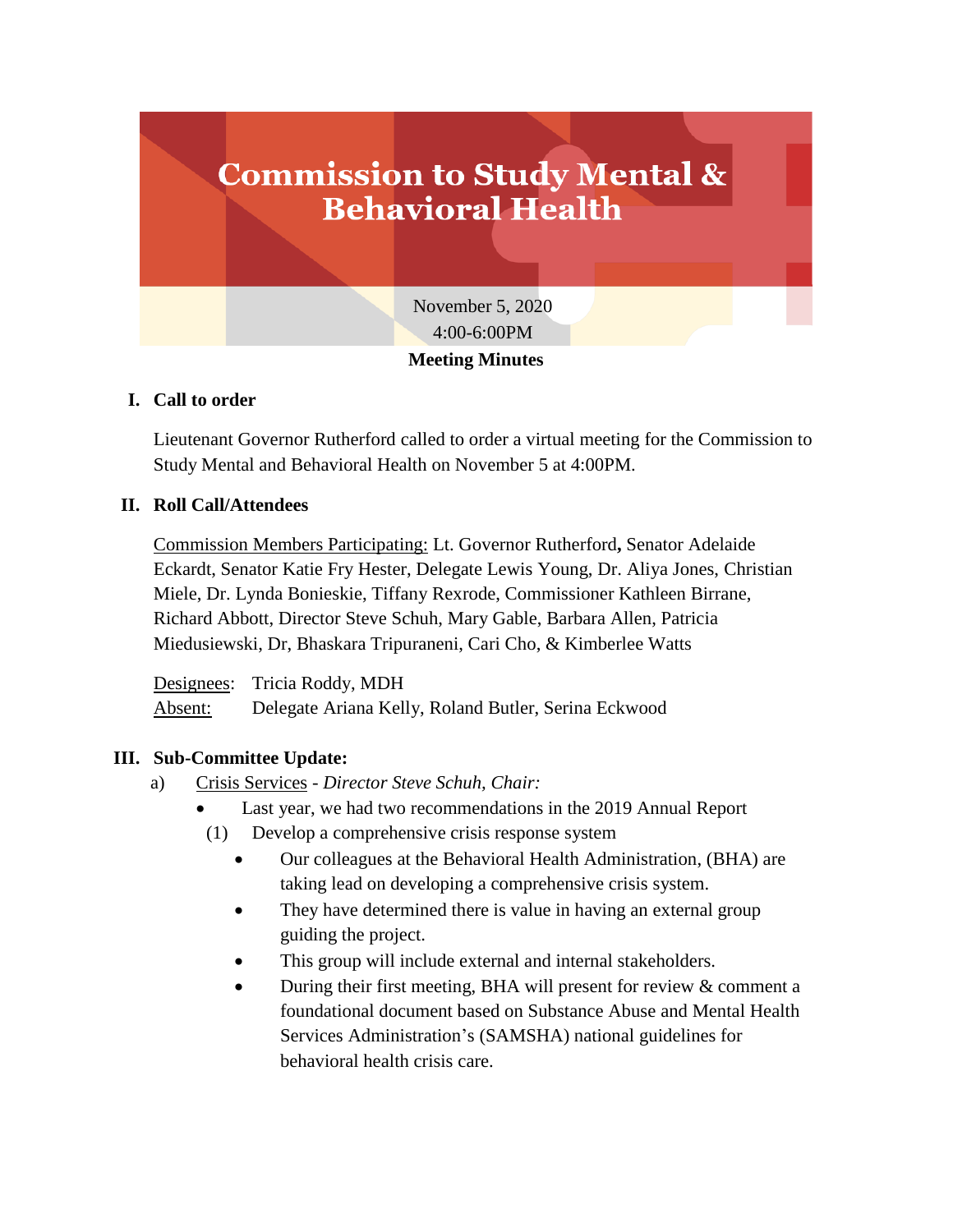

## **I. Call to order**

Lieutenant Governor Rutherford called to order a virtual meeting for the Commission to Study Mental and Behavioral Health on November 5 at 4:00PM.

## **II. Roll Call/Attendees**

Commission Members Participating: Lt. Governor Rutherford**,** Senator Adelaide Eckardt, Senator Katie Fry Hester, Delegate Lewis Young, Dr. Aliya Jones, Christian Miele, Dr. Lynda Bonieskie, Tiffany Rexrode, Commissioner Kathleen Birrane, Richard Abbott, Director Steve Schuh, Mary Gable, Barbara Allen, Patricia Miedusiewski, Dr, Bhaskara Tripuraneni, Cari Cho, & Kimberlee Watts

Designees: Tricia Roddy, MDH Absent: Delegate Ariana Kelly, Roland Butler, Serina Eckwood

# **III. Sub-Committee Update:**

- a) Crisis Services *Director Steve Schuh, Chair:*
	- Last year, we had two recommendations in the 2019 Annual Report
	- (1) Develop a comprehensive crisis response system
		- Our colleagues at the Behavioral Health Administration, (BHA) are taking lead on developing a comprehensive crisis system.
		- They have determined there is value in having an external group guiding the project.
		- This group will include external and internal stakeholders.
		- During their first meeting, BHA will present for review & comment a foundational document based on Substance Abuse and Mental Health Services Administration's (SAMSHA) national guidelines for behavioral health crisis care.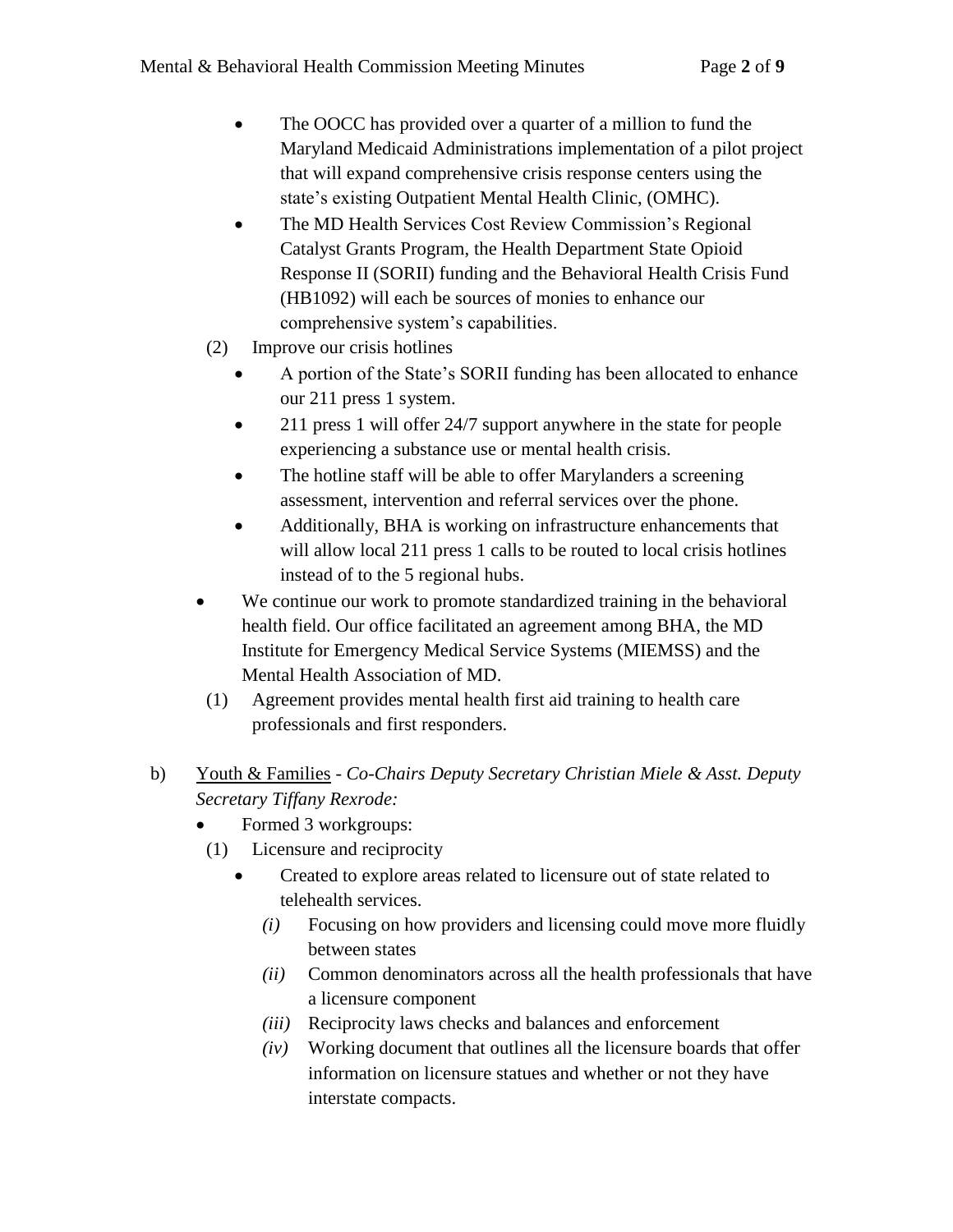- The OOCC has provided over a quarter of a million to fund the Maryland Medicaid Administrations implementation of a pilot project that will expand comprehensive crisis response centers using the state's existing Outpatient Mental Health Clinic, (OMHC).
- The MD Health Services Cost Review Commission's Regional Catalyst Grants Program, the Health Department State Opioid Response II (SORII) funding and the Behavioral Health Crisis Fund (HB1092) will each be sources of monies to enhance our comprehensive system's capabilities.
- (2) Improve our crisis hotlines
	- A portion of the State's SORII funding has been allocated to enhance our 211 press 1 system.
	- 211 press 1 will offer 24/7 support anywhere in the state for people experiencing a substance use or mental health crisis.
	- The hotline staff will be able to offer Marylanders a screening assessment, intervention and referral services over the phone.
	- Additionally, BHA is working on infrastructure enhancements that will allow local 211 press 1 calls to be routed to local crisis hotlines instead of to the 5 regional hubs.
- We continue our work to promote standardized training in the behavioral health field. Our office facilitated an agreement among BHA, the MD Institute for Emergency Medical Service Systems (MIEMSS) and the Mental Health Association of MD.
- (1) Agreement provides mental health first aid training to health care professionals and first responders.
- b) Youth & Families *Co-Chairs Deputy Secretary Christian Miele & Asst. Deputy Secretary Tiffany Rexrode:*
	- Formed 3 workgroups:
	- (1) Licensure and reciprocity
		- Created to explore areas related to licensure out of state related to telehealth services.
			- *(i)* Focusing on how providers and licensing could move more fluidly between states
			- *(ii)* Common denominators across all the health professionals that have a licensure component
			- *(iii)* Reciprocity laws checks and balances and enforcement
			- *(iv)* Working document that outlines all the licensure boards that offer information on licensure statues and whether or not they have interstate compacts.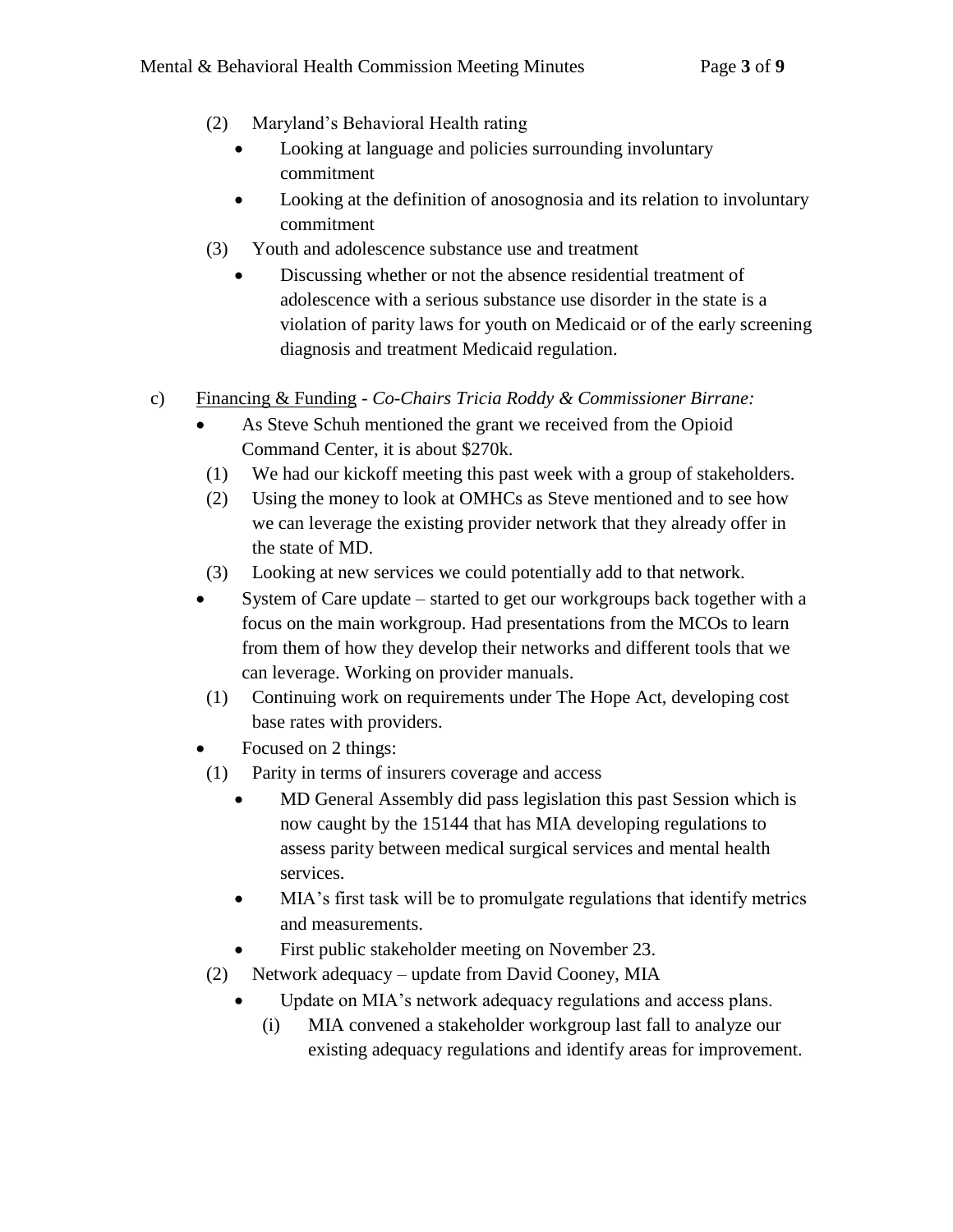- (2) Maryland's Behavioral Health rating
	- Looking at language and policies surrounding involuntary commitment
	- Looking at the definition of anosognosia and its relation to involuntary commitment
- (3) Youth and adolescence substance use and treatment
	- Discussing whether or not the absence residential treatment of adolescence with a serious substance use disorder in the state is a violation of parity laws for youth on Medicaid or of the early screening diagnosis and treatment Medicaid regulation.
- c) Financing & Funding *Co-Chairs Tricia Roddy & Commissioner Birrane:*
	- As Steve Schuh mentioned the grant we received from the Opioid Command Center, it is about \$270k.
	- (1) We had our kickoff meeting this past week with a group of stakeholders.
	- (2) Using the money to look at OMHCs as Steve mentioned and to see how we can leverage the existing provider network that they already offer in the state of MD.
	- (3) Looking at new services we could potentially add to that network.
	- System of Care update started to get our workgroups back together with a focus on the main workgroup. Had presentations from the MCOs to learn from them of how they develop their networks and different tools that we can leverage. Working on provider manuals.
	- (1) Continuing work on requirements under The Hope Act, developing cost base rates with providers.
	- Focused on 2 things:
	- (1) Parity in terms of insurers coverage and access
		- MD General Assembly did pass legislation this past Session which is now caught by the 15144 that has MIA developing regulations to assess parity between medical surgical services and mental health services.
		- MIA's first task will be to promulgate regulations that identify metrics and measurements.
		- First public stakeholder meeting on November 23.
	- (2) Network adequacy update from David Cooney, MIA
		- Update on MIA's network adequacy regulations and access plans.
			- (i) MIA convened a stakeholder workgroup last fall to analyze our existing adequacy regulations and identify areas for improvement.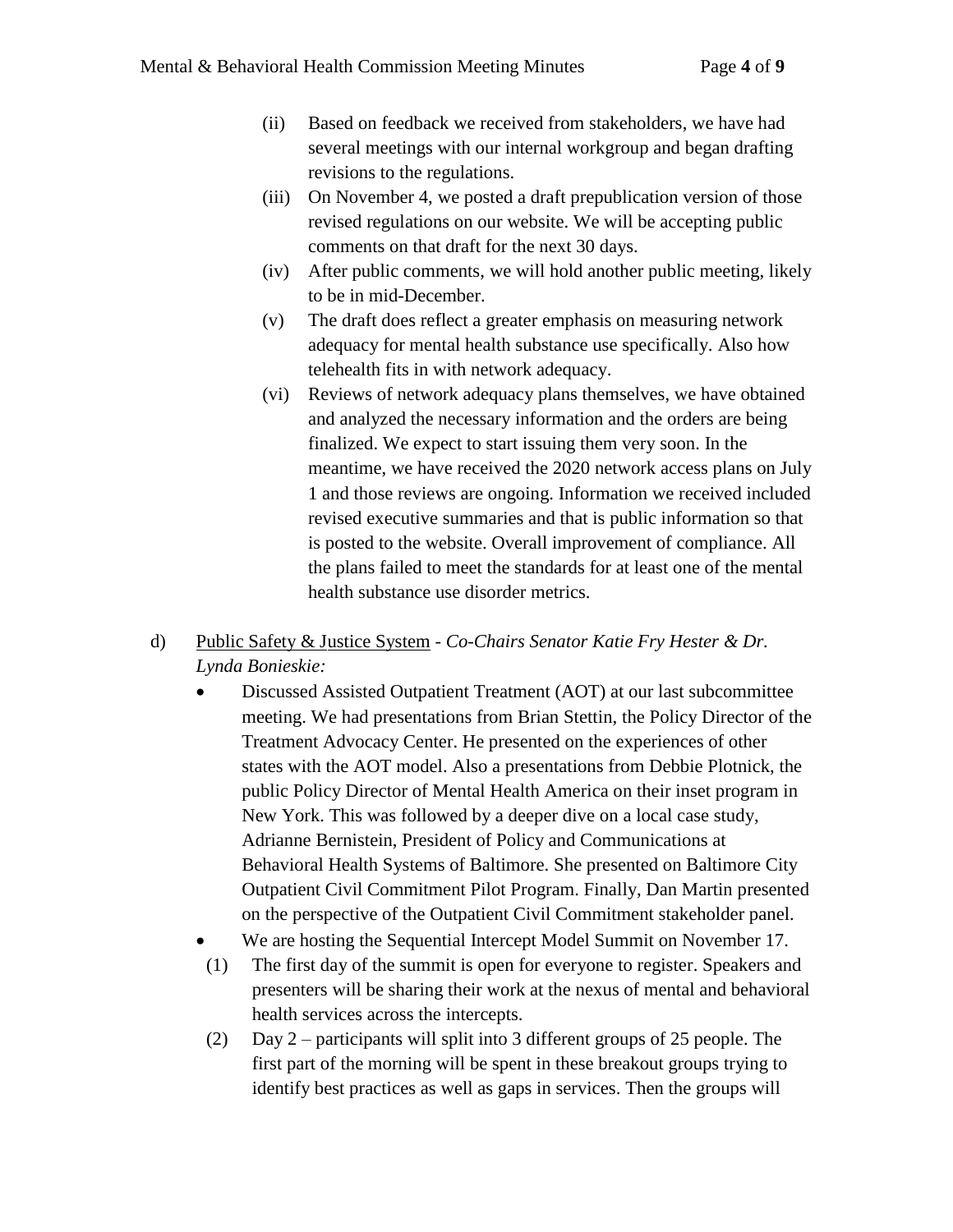- (ii) Based on feedback we received from stakeholders, we have had several meetings with our internal workgroup and began drafting revisions to the regulations.
- (iii) On November 4, we posted a draft prepublication version of those revised regulations on our website. We will be accepting public comments on that draft for the next 30 days.
- (iv) After public comments, we will hold another public meeting, likely to be in mid-December.
- (v) The draft does reflect a greater emphasis on measuring network adequacy for mental health substance use specifically. Also how telehealth fits in with network adequacy.
- (vi) Reviews of network adequacy plans themselves, we have obtained and analyzed the necessary information and the orders are being finalized. We expect to start issuing them very soon. In the meantime, we have received the 2020 network access plans on July 1 and those reviews are ongoing. Information we received included revised executive summaries and that is public information so that is posted to the website. Overall improvement of compliance. All the plans failed to meet the standards for at least one of the mental health substance use disorder metrics.

## d) Public Safety & Justice System - *Co-Chairs Senator Katie Fry Hester & Dr. Lynda Bonieskie:*

- Discussed Assisted Outpatient Treatment (AOT) at our last subcommittee meeting. We had presentations from Brian Stettin, the Policy Director of the Treatment Advocacy Center. He presented on the experiences of other states with the AOT model. Also a presentations from Debbie Plotnick, the public Policy Director of Mental Health America on their inset program in New York. This was followed by a deeper dive on a local case study, Adrianne Bernistein, President of Policy and Communications at Behavioral Health Systems of Baltimore. She presented on Baltimore City Outpatient Civil Commitment Pilot Program. Finally, Dan Martin presented on the perspective of the Outpatient Civil Commitment stakeholder panel.
- We are hosting the Sequential Intercept Model Summit on November 17.
- (1) The first day of the summit is open for everyone to register. Speakers and presenters will be sharing their work at the nexus of mental and behavioral health services across the intercepts.
- (2) Day 2 participants will split into 3 different groups of 25 people. The first part of the morning will be spent in these breakout groups trying to identify best practices as well as gaps in services. Then the groups will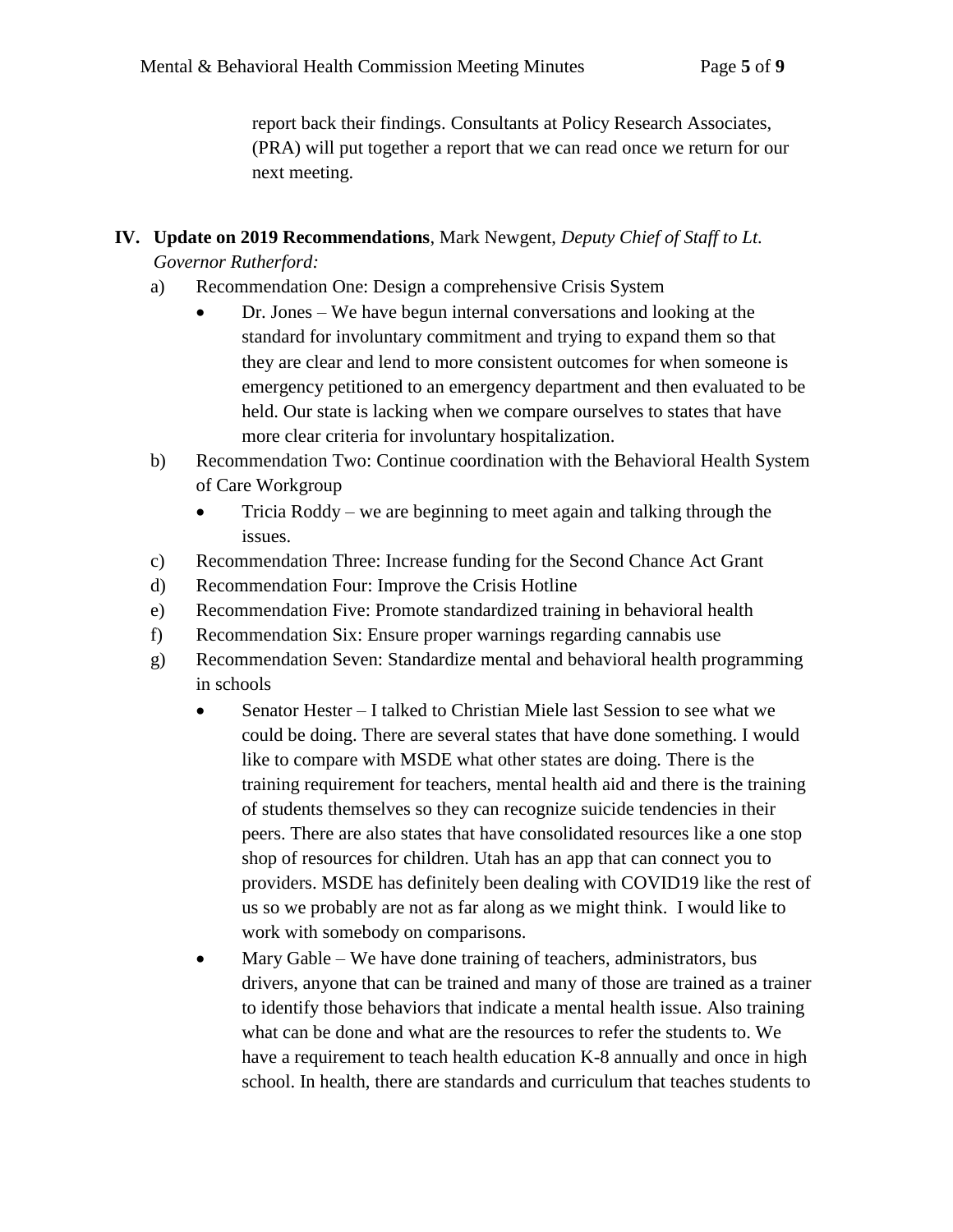report back their findings. Consultants at Policy Research Associates, (PRA) will put together a report that we can read once we return for our next meeting.

# **IV. Update on 2019 Recommendations**, Mark Newgent, *Deputy Chief of Staff to Lt. Governor Rutherford:*

- a) Recommendation One: Design a comprehensive Crisis System
	- Dr. Jones We have begun internal conversations and looking at the standard for involuntary commitment and trying to expand them so that they are clear and lend to more consistent outcomes for when someone is emergency petitioned to an emergency department and then evaluated to be held. Our state is lacking when we compare ourselves to states that have more clear criteria for involuntary hospitalization.
- b) Recommendation Two: Continue coordination with the Behavioral Health System of Care Workgroup
	- Tricia Roddy we are beginning to meet again and talking through the issues.
- c) Recommendation Three: Increase funding for the Second Chance Act Grant
- d) Recommendation Four: Improve the Crisis Hotline
- e) Recommendation Five: Promote standardized training in behavioral health
- f) Recommendation Six: Ensure proper warnings regarding cannabis use
- g) Recommendation Seven: Standardize mental and behavioral health programming in schools
	- Senator Hester I talked to Christian Miele last Session to see what we could be doing. There are several states that have done something. I would like to compare with MSDE what other states are doing. There is the training requirement for teachers, mental health aid and there is the training of students themselves so they can recognize suicide tendencies in their peers. There are also states that have consolidated resources like a one stop shop of resources for children. Utah has an app that can connect you to providers. MSDE has definitely been dealing with COVID19 like the rest of us so we probably are not as far along as we might think. I would like to work with somebody on comparisons.
	- Mary Gable We have done training of teachers, administrators, bus drivers, anyone that can be trained and many of those are trained as a trainer to identify those behaviors that indicate a mental health issue. Also training what can be done and what are the resources to refer the students to. We have a requirement to teach health education K-8 annually and once in high school. In health, there are standards and curriculum that teaches students to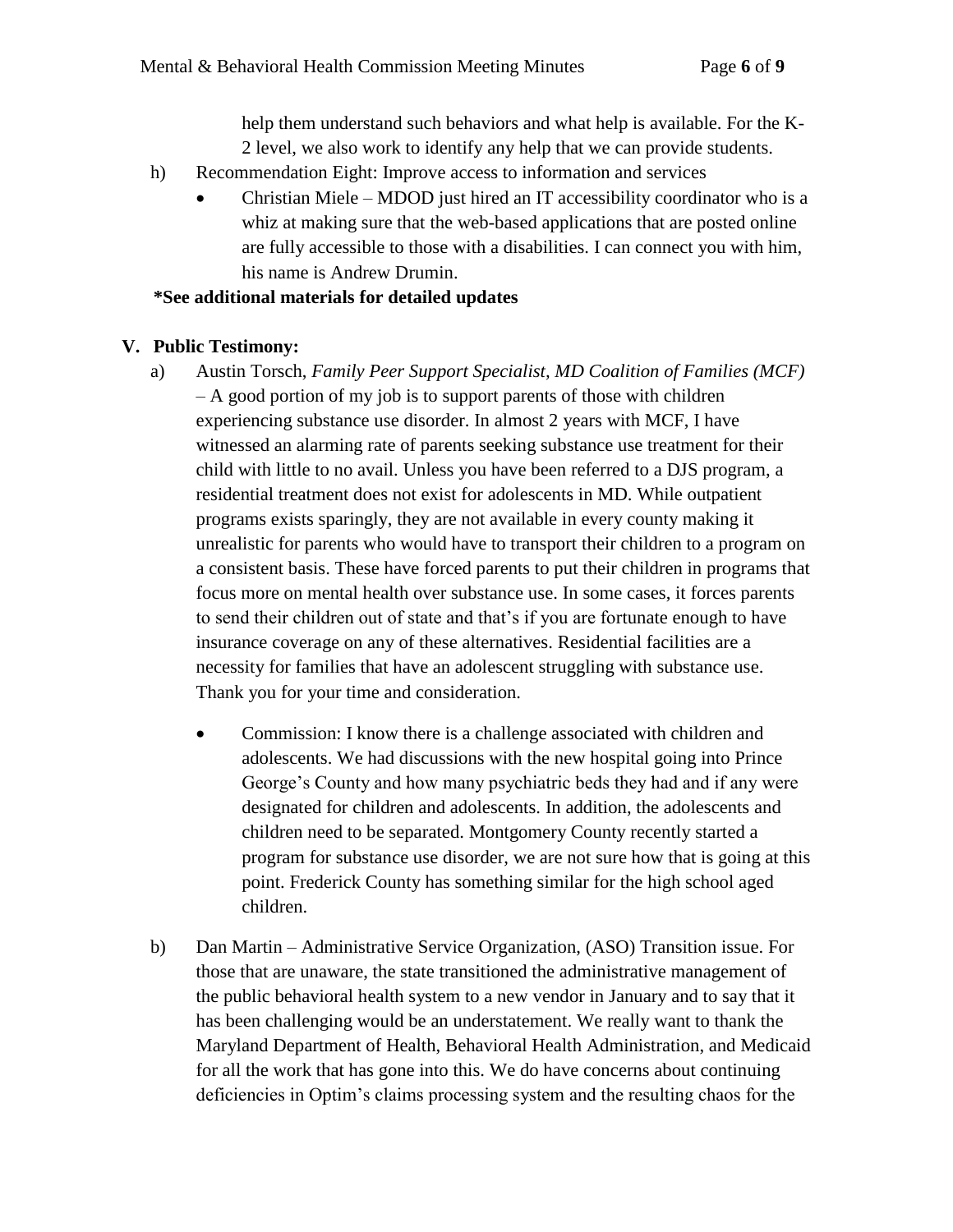help them understand such behaviors and what help is available. For the K-2 level, we also work to identify any help that we can provide students.

- h) Recommendation Eight: Improve access to information and services
	- Christian Miele MDOD just hired an IT accessibility coordinator who is a whiz at making sure that the web-based applications that are posted online are fully accessible to those with a disabilities. I can connect you with him, his name is Andrew Drumin.

#### **\*See additional materials for detailed updates**

## **V. Public Testimony:**

- a) Austin Torsch, *Family Peer Support Specialist, MD Coalition of Families (MCF)* – A good portion of my job is to support parents of those with children experiencing substance use disorder. In almost 2 years with MCF, I have witnessed an alarming rate of parents seeking substance use treatment for their child with little to no avail. Unless you have been referred to a DJS program, a residential treatment does not exist for adolescents in MD. While outpatient programs exists sparingly, they are not available in every county making it unrealistic for parents who would have to transport their children to a program on a consistent basis. These have forced parents to put their children in programs that focus more on mental health over substance use. In some cases, it forces parents to send their children out of state and that's if you are fortunate enough to have insurance coverage on any of these alternatives. Residential facilities are a necessity for families that have an adolescent struggling with substance use. Thank you for your time and consideration.
	- Commission: I know there is a challenge associated with children and adolescents. We had discussions with the new hospital going into Prince George's County and how many psychiatric beds they had and if any were designated for children and adolescents. In addition, the adolescents and children need to be separated. Montgomery County recently started a program for substance use disorder, we are not sure how that is going at this point. Frederick County has something similar for the high school aged children.
- b) Dan Martin Administrative Service Organization, (ASO) Transition issue. For those that are unaware, the state transitioned the administrative management of the public behavioral health system to a new vendor in January and to say that it has been challenging would be an understatement. We really want to thank the Maryland Department of Health, Behavioral Health Administration, and Medicaid for all the work that has gone into this. We do have concerns about continuing deficiencies in Optim's claims processing system and the resulting chaos for the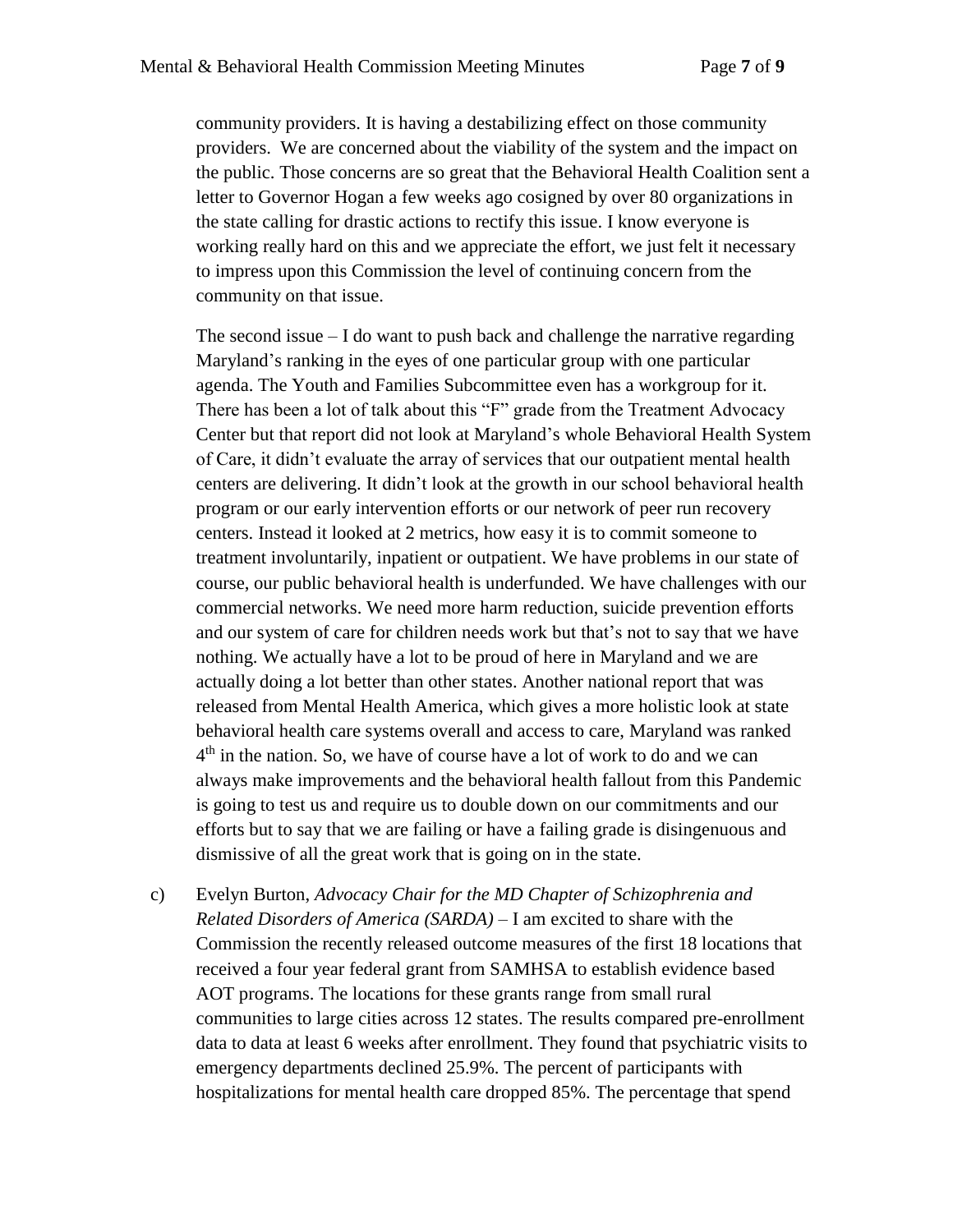community providers. It is having a destabilizing effect on those community providers. We are concerned about the viability of the system and the impact on the public. Those concerns are so great that the Behavioral Health Coalition sent a letter to Governor Hogan a few weeks ago cosigned by over 80 organizations in the state calling for drastic actions to rectify this issue. I know everyone is working really hard on this and we appreciate the effort, we just felt it necessary to impress upon this Commission the level of continuing concern from the community on that issue.

The second issue  $-I$  do want to push back and challenge the narrative regarding Maryland's ranking in the eyes of one particular group with one particular agenda. The Youth and Families Subcommittee even has a workgroup for it. There has been a lot of talk about this "F" grade from the Treatment Advocacy Center but that report did not look at Maryland's whole Behavioral Health System of Care, it didn't evaluate the array of services that our outpatient mental health centers are delivering. It didn't look at the growth in our school behavioral health program or our early intervention efforts or our network of peer run recovery centers. Instead it looked at 2 metrics, how easy it is to commit someone to treatment involuntarily, inpatient or outpatient. We have problems in our state of course, our public behavioral health is underfunded. We have challenges with our commercial networks. We need more harm reduction, suicide prevention efforts and our system of care for children needs work but that's not to say that we have nothing. We actually have a lot to be proud of here in Maryland and we are actually doing a lot better than other states. Another national report that was released from Mental Health America, which gives a more holistic look at state behavioral health care systems overall and access to care, Maryland was ranked 4 th in the nation. So, we have of course have a lot of work to do and we can always make improvements and the behavioral health fallout from this Pandemic is going to test us and require us to double down on our commitments and our efforts but to say that we are failing or have a failing grade is disingenuous and dismissive of all the great work that is going on in the state.

c) Evelyn Burton, *Advocacy Chair for the MD Chapter of Schizophrenia and Related Disorders of America (SARDA)* – I am excited to share with the Commission the recently released outcome measures of the first 18 locations that received a four year federal grant from SAMHSA to establish evidence based AOT programs. The locations for these grants range from small rural communities to large cities across 12 states. The results compared pre-enrollment data to data at least 6 weeks after enrollment. They found that psychiatric visits to emergency departments declined 25.9%. The percent of participants with hospitalizations for mental health care dropped 85%. The percentage that spend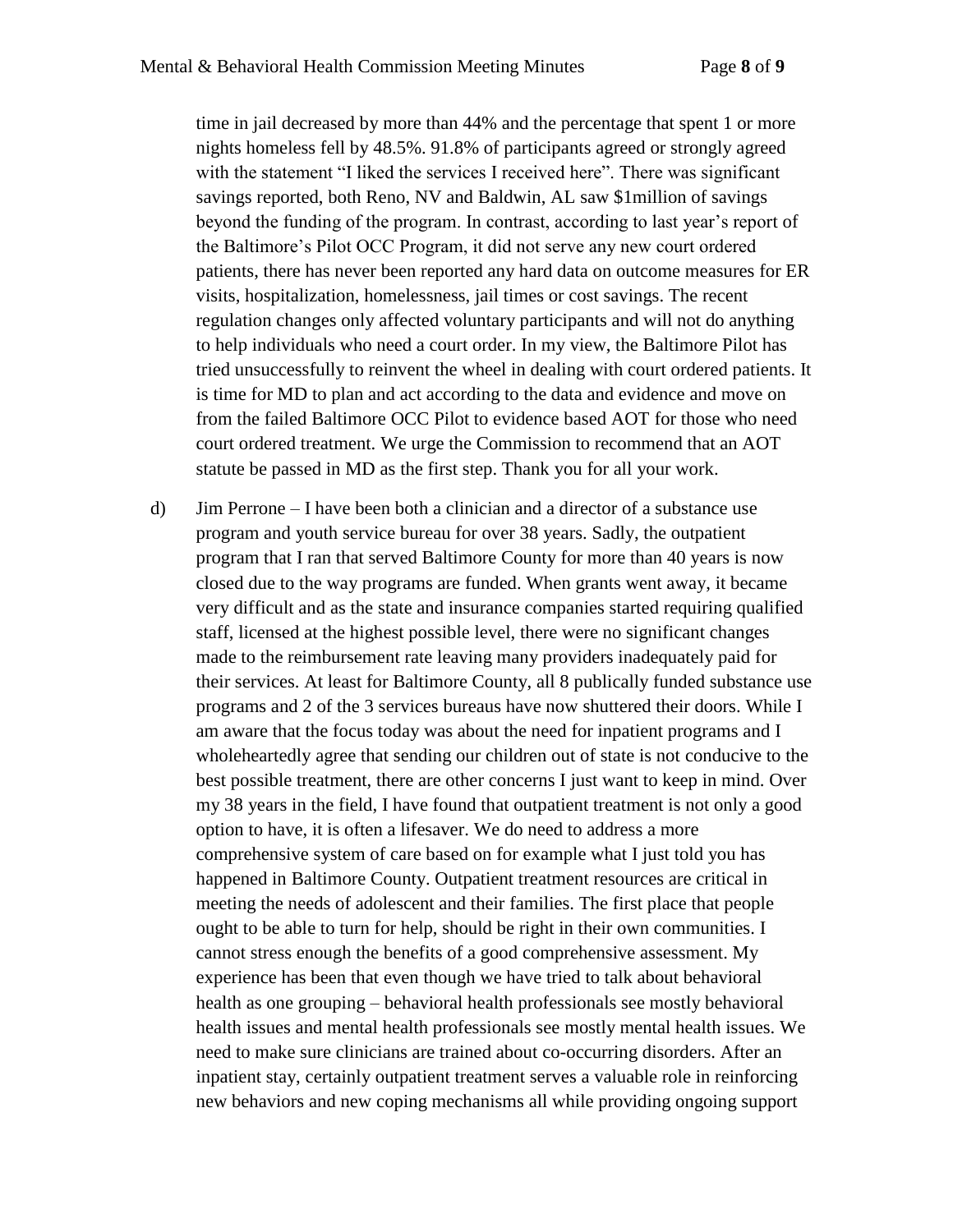time in jail decreased by more than 44% and the percentage that spent 1 or more nights homeless fell by 48.5%. 91.8% of participants agreed or strongly agreed with the statement "I liked the services I received here". There was significant savings reported, both Reno, NV and Baldwin, AL saw \$1million of savings beyond the funding of the program. In contrast, according to last year's report of the Baltimore's Pilot OCC Program, it did not serve any new court ordered patients, there has never been reported any hard data on outcome measures for ER visits, hospitalization, homelessness, jail times or cost savings. The recent regulation changes only affected voluntary participants and will not do anything to help individuals who need a court order. In my view, the Baltimore Pilot has tried unsuccessfully to reinvent the wheel in dealing with court ordered patients. It is time for MD to plan and act according to the data and evidence and move on from the failed Baltimore OCC Pilot to evidence based AOT for those who need court ordered treatment. We urge the Commission to recommend that an AOT statute be passed in MD as the first step. Thank you for all your work.

d) Jim Perrone – I have been both a clinician and a director of a substance use program and youth service bureau for over 38 years. Sadly, the outpatient program that I ran that served Baltimore County for more than 40 years is now closed due to the way programs are funded. When grants went away, it became very difficult and as the state and insurance companies started requiring qualified staff, licensed at the highest possible level, there were no significant changes made to the reimbursement rate leaving many providers inadequately paid for their services. At least for Baltimore County, all 8 publically funded substance use programs and 2 of the 3 services bureaus have now shuttered their doors. While I am aware that the focus today was about the need for inpatient programs and I wholeheartedly agree that sending our children out of state is not conducive to the best possible treatment, there are other concerns I just want to keep in mind. Over my 38 years in the field, I have found that outpatient treatment is not only a good option to have, it is often a lifesaver. We do need to address a more comprehensive system of care based on for example what I just told you has happened in Baltimore County. Outpatient treatment resources are critical in meeting the needs of adolescent and their families. The first place that people ought to be able to turn for help, should be right in their own communities. I cannot stress enough the benefits of a good comprehensive assessment. My experience has been that even though we have tried to talk about behavioral health as one grouping – behavioral health professionals see mostly behavioral health issues and mental health professionals see mostly mental health issues. We need to make sure clinicians are trained about co-occurring disorders. After an inpatient stay, certainly outpatient treatment serves a valuable role in reinforcing new behaviors and new coping mechanisms all while providing ongoing support